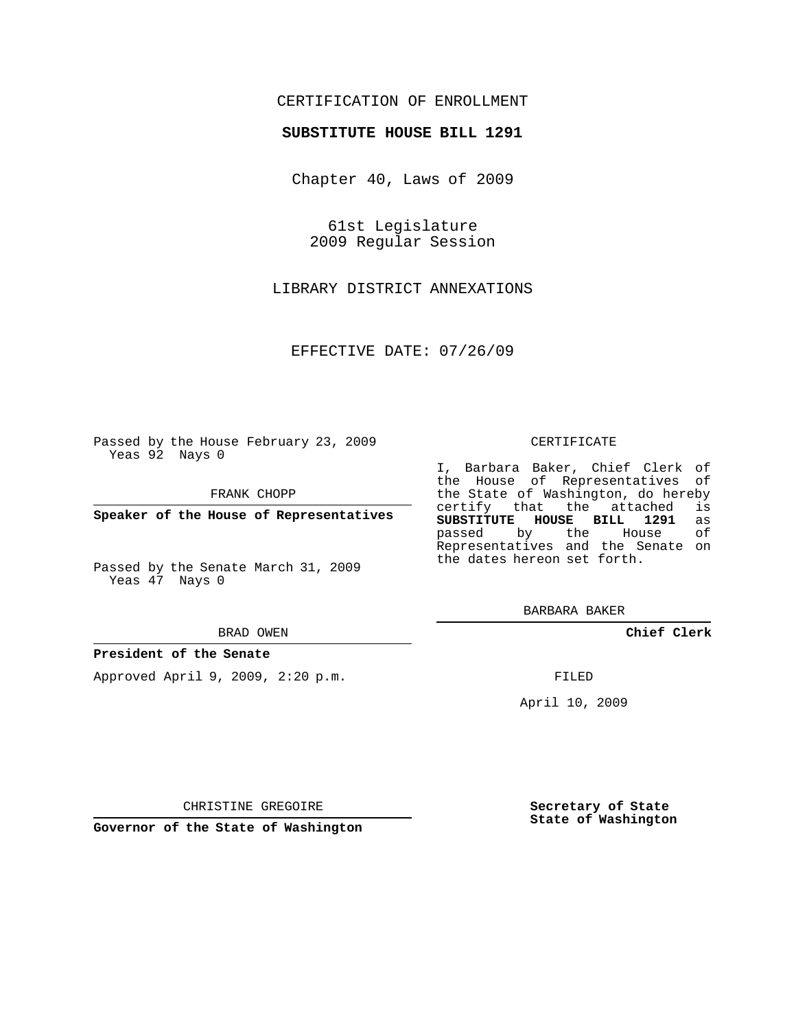# CERTIFICATION OF ENROLLMENT

## **SUBSTITUTE HOUSE BILL 1291**

Chapter 40, Laws of 2009

61st Legislature 2009 Regular Session

LIBRARY DISTRICT ANNEXATIONS

EFFECTIVE DATE: 07/26/09

Passed by the House February 23, 2009 Yeas 92 Nays 0

FRANK CHOPP

**Speaker of the House of Representatives**

Passed by the Senate March 31, 2009 Yeas 47 Nays 0

#### BRAD OWEN

### **President of the Senate**

Approved April 9, 2009, 2:20 p.m.

#### CERTIFICATE

I, Barbara Baker, Chief Clerk of the House of Representatives of the State of Washington, do hereby<br>certify that the attached is certify that the attached is<br>SUBSTITUTE HOUSE BILL 1291 as **SUBSTITUTE HOUSE BILL 1291** as passed by the House Representatives and the Senate on the dates hereon set forth.

BARBARA BAKER

**Chief Clerk**

FILED

April 10, 2009

CHRISTINE GREGOIRE

**Governor of the State of Washington**

**Secretary of State State of Washington**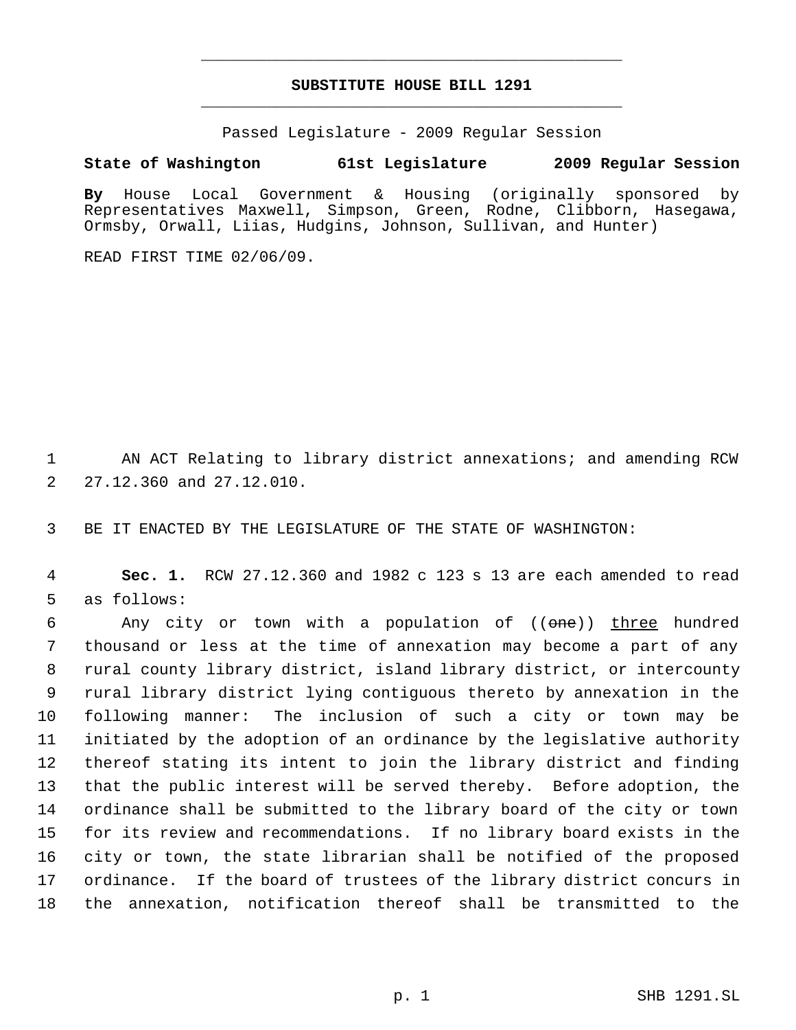# **SUBSTITUTE HOUSE BILL 1291** \_\_\_\_\_\_\_\_\_\_\_\_\_\_\_\_\_\_\_\_\_\_\_\_\_\_\_\_\_\_\_\_\_\_\_\_\_\_\_\_\_\_\_\_\_

\_\_\_\_\_\_\_\_\_\_\_\_\_\_\_\_\_\_\_\_\_\_\_\_\_\_\_\_\_\_\_\_\_\_\_\_\_\_\_\_\_\_\_\_\_

Passed Legislature - 2009 Regular Session

# **State of Washington 61st Legislature 2009 Regular Session**

**By** House Local Government & Housing (originally sponsored by Representatives Maxwell, Simpson, Green, Rodne, Clibborn, Hasegawa, Ormsby, Orwall, Liias, Hudgins, Johnson, Sullivan, and Hunter)

READ FIRST TIME 02/06/09.

 AN ACT Relating to library district annexations; and amending RCW 27.12.360 and 27.12.010.

BE IT ENACTED BY THE LEGISLATURE OF THE STATE OF WASHINGTON:

 **Sec. 1.** RCW 27.12.360 and 1982 c 123 s 13 are each amended to read as follows:

6 Any city or town with a population of ((one)) three hundred thousand or less at the time of annexation may become a part of any rural county library district, island library district, or intercounty rural library district lying contiguous thereto by annexation in the following manner: The inclusion of such a city or town may be initiated by the adoption of an ordinance by the legislative authority thereof stating its intent to join the library district and finding that the public interest will be served thereby. Before adoption, the ordinance shall be submitted to the library board of the city or town for its review and recommendations. If no library board exists in the city or town, the state librarian shall be notified of the proposed ordinance. If the board of trustees of the library district concurs in the annexation, notification thereof shall be transmitted to the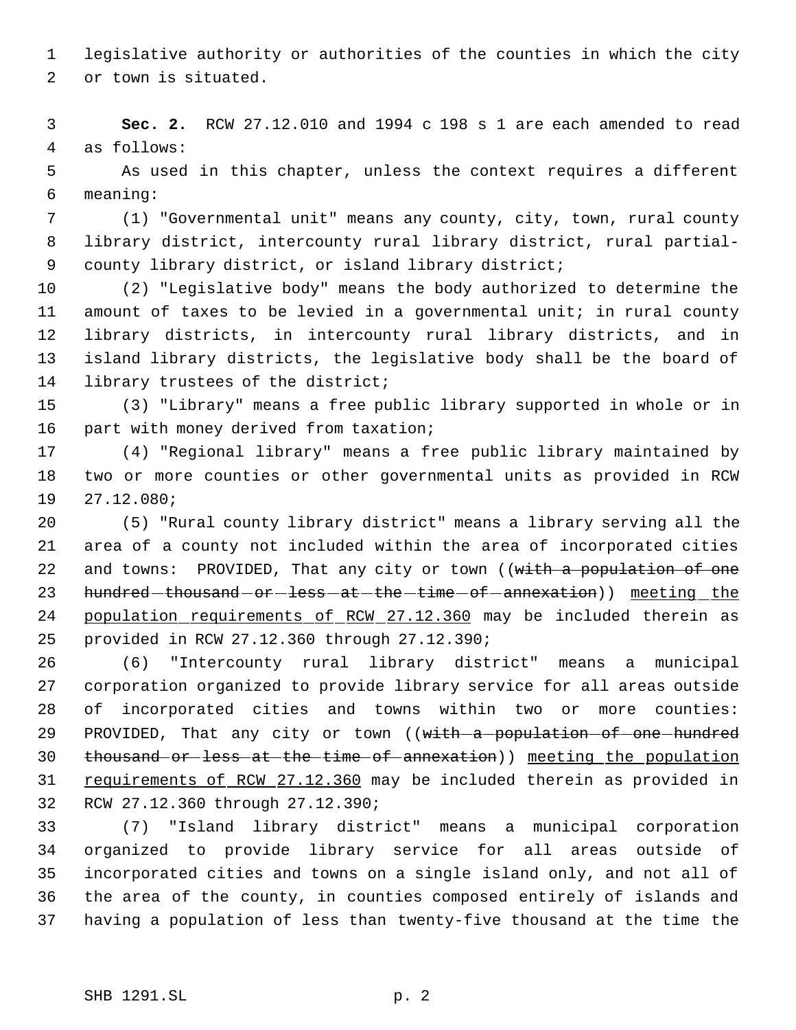legislative authority or authorities of the counties in which the city or town is situated.

 **Sec. 2.** RCW 27.12.010 and 1994 c 198 s 1 are each amended to read as follows:

 As used in this chapter, unless the context requires a different meaning:

 (1) "Governmental unit" means any county, city, town, rural county library district, intercounty rural library district, rural partial- county library district, or island library district;

 (2) "Legislative body" means the body authorized to determine the amount of taxes to be levied in a governmental unit; in rural county library districts, in intercounty rural library districts, and in island library districts, the legislative body shall be the board of library trustees of the district;

 (3) "Library" means a free public library supported in whole or in 16 part with money derived from taxation;

 (4) "Regional library" means a free public library maintained by two or more counties or other governmental units as provided in RCW 27.12.080;

 (5) "Rural county library district" means a library serving all the area of a county not included within the area of incorporated cities 22 and towns: PROVIDED, That any city or town ((with a population of one 23 hundred-thousand-or-less-at-the-time-of-annexation)) meeting the 24 population requirements of RCW 27.12.360 may be included therein as provided in RCW 27.12.360 through 27.12.390;

 (6) "Intercounty rural library district" means a municipal corporation organized to provide library service for all areas outside of incorporated cities and towns within two or more counties: 29 PROVIDED, That any city or town ((with a population of one hundred thousand or less at the time of annexation)) meeting the population 31 requirements of RCW 27.12.360 may be included therein as provided in RCW 27.12.360 through 27.12.390;

 (7) "Island library district" means a municipal corporation organized to provide library service for all areas outside of incorporated cities and towns on a single island only, and not all of the area of the county, in counties composed entirely of islands and having a population of less than twenty-five thousand at the time the